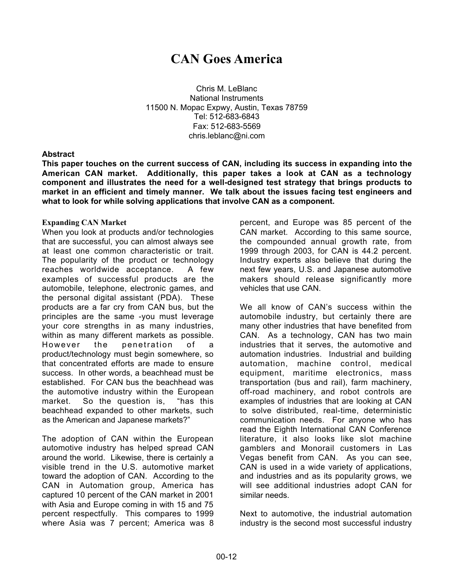# **CAN Goes America**

Chris M. LeBlanc National Instruments 11500 N. Mopac Expwy, Austin, Texas 78759 Tel: 512-683-6843 Fax: 512-683-5569 chris.leblanc@ni.com

## **Abstract**

**This paper touches on the current success of CAN, including its success in expanding into the American CAN market. Additionally, this paper takes a look at CAN as a technology component and illustrates the need for a well-designed test strategy that brings products to market in an efficient and timely manner. We talk about the issues facing test engineers and what to look for while solving applications that involve CAN as a component.**

## **Expanding CAN Market**

When you look at products and/or technologies that are successful, you can almost always see at least one common characteristic or trait. The popularity of the product or technology reaches worldwide acceptance. A few examples of successful products are the automobile, telephone, electronic games, and the personal digital assistant (PDA). These products are a far cry from CAN bus, but the principles are the same -you must leverage your core strengths in as many industries, within as many different markets as possible. However the penetration of a product/technology must begin somewhere, so that concentrated efforts are made to ensure success. In other words, a beachhead must be established. For CAN bus the beachhead was the automotive industry within the European market. So the question is, "has this beachhead expanded to other markets, such as the American and Japanese markets?"

The adoption of CAN within the European automotive industry has helped spread CAN around the world. Likewise, there is certainly a visible trend in the U.S. automotive market toward the adoption of CAN. According to the CAN in Automation group, America has captured 10 percent of the CAN market in 2001 with Asia and Europe coming in with 15 and 75 percent respectfully. This compares to 1999 where Asia was 7 percent; America was 8

percent, and Europe was 85 percent of the CAN market. According to this same source, the compounded annual growth rate, from 1999 through 2003, for CAN is 44.2 percent. Industry experts also believe that during the next few years, U.S. and Japanese automotive makers should release significantly more vehicles that use CAN.

We all know of CAN's success within the automobile industry, but certainly there are many other industries that have benefited from CAN. As a technology, CAN has two main industries that it serves, the automotive and automation industries. Industrial and building automation, machine control, medical equipment, maritime electronics, mass transportation (bus and rail), farm machinery, off-road machinery, and robot controls are examples of industries that are looking at CAN to solve distributed, real-time, deterministic communication needs. For anyone who has read the Eighth International CAN Conference literature, it also looks like slot machine gamblers and Monorail customers in Las Vegas benefit from CAN. As you can see, CAN is used in a wide variety of applications, and industries and as its popularity grows, we will see additional industries adopt CAN for similar needs.

Next to automotive, the industrial automation industry is the second most successful industry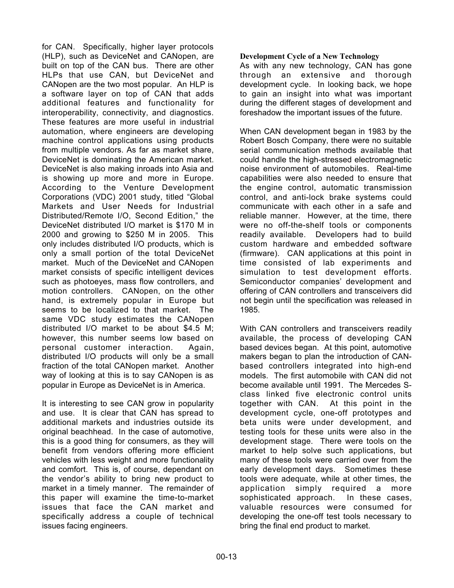for CAN. Specifically, higher layer protocols (HLP), such as DeviceNet and CANopen, are built on top of the CAN bus. There are other HLPs that use CAN, but DeviceNet and CANopen are the two most popular. An HLP is a software layer on top of CAN that adds additional features and functionality for interoperability, connectivity, and diagnostics. These features are more useful in industrial automation, where engineers are developing machine control applications using products from multiple vendors. As far as market share, DeviceNet is dominating the American market. DeviceNet is also making inroads into Asia and is showing up more and more in Europe. According to the Venture Development Corporations (VDC) 2001 study, titled "Global Markets and User Needs for Industrial Distributed/Remote I/O, Second Edition," the DeviceNet distributed I/O market is \$170 M in 2000 and growing to \$250 M in 2005. This only includes distributed I/O products, which is only a small portion of the total DeviceNet market. Much of the DeviceNet and CANopen market consists of specific intelligent devices such as photoeyes, mass flow controllers, and motion controllers. CANopen, on the other hand, is extremely popular in Europe but seems to be localized to that market. The same VDC study estimates the CANopen distributed I/O market to be about \$4.5 M; however, this number seems low based on personal customer interaction. Again, distributed I/O products will only be a small fraction of the total CANopen market. Another way of looking at this is to say CANopen is as popular in Europe as DeviceNet is in America.

It is interesting to see CAN grow in popularity and use. It is clear that CAN has spread to additional markets and industries outside its original beachhead. In the case of automotive, this is a good thing for consumers, as they will benefit from vendors offering more efficient vehicles with less weight and more functionality and comfort. This is, of course, dependant on the vendor's ability to bring new product to market in a timely manner. The remainder of this paper will examine the time-to-market issues that face the CAN market and specifically address a couple of technical issues facing engineers.

## **Development Cycle of a New Technology**

As with any new technology, CAN has gone through an extensive and thorough development cycle. In looking back, we hope to gain an insight into what was important during the different stages of development and foreshadow the important issues of the future.

When CAN development began in 1983 by the Robert Bosch Company, there were no suitable serial communication methods available that could handle the high-stressed electromagnetic noise environment of automobiles. Real-time capabilities were also needed to ensure that the engine control, automatic transmission control, and anti-lock brake systems could communicate with each other in a safe and reliable manner. However, at the time, there were no off-the-shelf tools or components readily available. Developers had to build custom hardware and embedded software (firmware). CAN applications at this point in time consisted of lab experiments and simulation to test development efforts. Semiconductor companies' development and offering of CAN controllers and transceivers did not begin until the specification was released in 1985.

With CAN controllers and transceivers readily available, the process of developing CAN based devices began. At this point, automotive makers began to plan the introduction of CANbased controllers integrated into high-end models. The first automobile with CAN did not become available until 1991. The Mercedes Sclass linked five electronic control units together with CAN. At this point in the development cycle, one-off prototypes and beta units were under development, and testing tools for these units were also in the development stage. There were tools on the market to help solve such applications, but many of these tools were carried over from the early development days. Sometimes these tools were adequate, while at other times, the application simply required a more sophisticated approach. In these cases, valuable resources were consumed for developing the one-off test tools necessary to bring the final end product to market.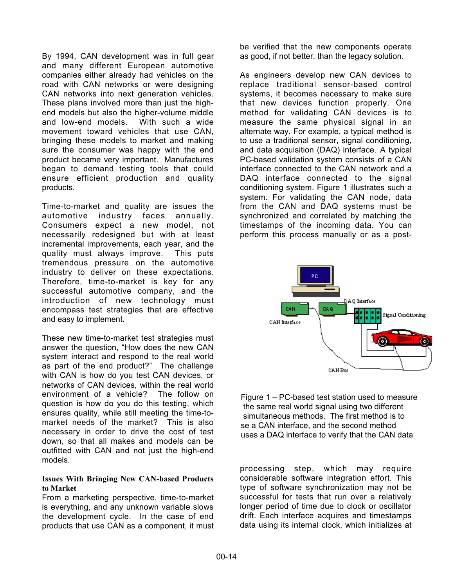By 1994, CAN development was in full gear and many different European automotive companies either already had vehicles on the road with CAN networks or were designing CAN networks into next generation vehicles. These plans involved more than just the highend models but also the higher-volume middle and low-end models. With such a wide movement toward vehicles that use CAN, bringing these models to market and making sure the consumer was happy with the end product became very important. Manufactures began to demand testing tools that could ensure efficient production and quality products.

Time-to-market and quality are issues the automotive industry faces annually. Consumers expect a new model, not necessarily redesigned but with at least incremental improvements, each year, and the quality must always improve. This puts tremendous pressure on the automotive industry to deliver on these expectations. Therefore, time-to-market is key for any successful automotive company, and the introduction of new technology must encompass test strategies that are effective and easy to implement.

These new time-to-market test strategies must answer the question, "How does the new CAN system interact and respond to the real world as part of the end product?" The challenge with CAN is how do you test CAN devices, or networks of CAN devices, within the real world environment of a vehicle? The follow on question is how do you do this testing, which ensures quality, while still meeting the time-tomarket needs of the market? This is also necessary in order to drive the cost of test down, so that all makes and models can be outfitted with CAN and not just the high-end models.

## **Issues With Bringing New CAN-based Products to Market**

From a marketing perspective, time-to-market is everything, and any unknown variable slows the development cycle. In the case of end products that use CAN as a component, it must be verified that the new components operate as good, if not better, than the legacy solution.

As engineers develop new CAN devices to replace traditional sensor-based control systems, it becomes necessary to make sure that new devices function properly. One method for validating CAN devices is to measure the same physical signal in an alternate way. For example, a typical method is to use a traditional sensor, signal conditioning, and data acquisition (DAQ) interface. A typical PC-based validation system consists of a CAN interface connected to the CAN network and a DAQ interface connected to the signal conditioning system. Figure 1 illustrates such a system. For validating the CAN node, data from the CAN and DAQ systems must be synchronized and correlated by matching the timestamps of the incoming data. You can perform this process manually or as a post-



Figure 1 – PC-based test station used to measure the same real world signal using two different simultaneous methods. The first method is to se a CAN interface, and the second method uses a DAQ interface to verify that the CAN data

processing step, which may require considerable software integration effort. This type of software synchronization may not be successful for tests that run over a relatively longer period of time due to clock or oscillator drift. Each interface acquires and timestamps data using its internal clock, which initializes at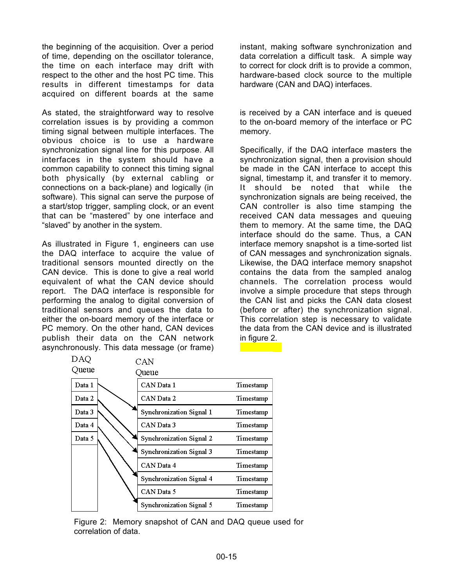the beginning of the acquisition. Over a period of time, depending on the oscillator tolerance, the time on each interface may drift with respect to the other and the host PC time. This results in different timestamps for data acquired on different boards at the same

As stated, the straightforward way to resolve correlation issues is by providing a common timing signal between multiple interfaces. The obvious choice is to use a hardware synchronization signal line for this purpose. All interfaces in the system should have a common capability to connect this timing signal both physically (by external cabling or connections on a back-plane) and logically (in software). This signal can serve the purpose of a start/stop trigger, sampling clock, or an event that can be "mastered" by one interface and "slaved" by another in the system.

As illustrated in Figure 1, engineers can use the DAQ interface to acquire the value of traditional sensors mounted directly on the CAN device. This is done to give a real world equivalent of what the CAN device should report. The DAQ interface is responsible for performing the analog to digital conversion of traditional sensors and queues the data to either the on-board memory of the interface or PC memory. On the other hand, CAN devices publish their data on the CAN network asynchronously. This data message (or frame)

instant, making software synchronization and data correlation a difficult task. A simple way to correct for clock drift is to provide a common, hardware-based clock source to the multiple hardware (CAN and DAQ) interfaces.

is received by a CAN interface and is queued to the on-board memory of the interface or PC memory.

Specifically, if the DAQ interface masters the synchronization signal, then a provision should be made in the CAN interface to accept this signal, timestamp it, and transfer it to memory. It should be noted that while the synchronization signals are being received, the CAN controller is also time stamping the received CAN data messages and queuing them to memory. At the same time, the DAQ interface should do the same. Thus, a CAN interface memory snapshot is a time-sorted list of CAN messages and synchronization signals. Likewise, the DAQ interface memory snapshot contains the data from the sampled analog channels. The correlation process would involve a simple procedure that steps through the CAN list and picks the CAN data closest (before or after) the synchronization signal. This correlation step is necessary to validate the data from the CAN device and is illustrated in figure 2.



Figure 2: Memory snapshot of CAN and DAQ queue used for correlation of data.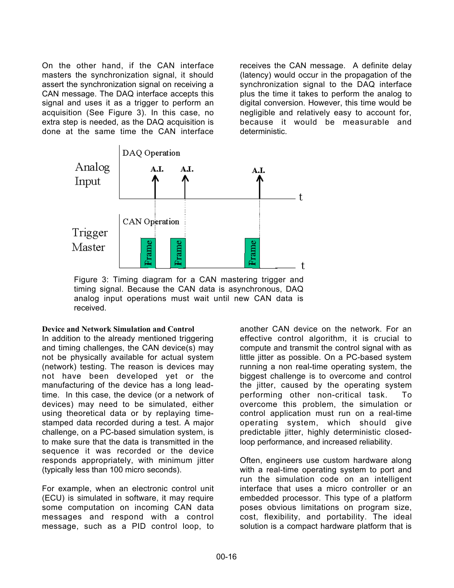On the other hand, if the CAN interface masters the synchronization signal, it should assert the synchronization signal on receiving a CAN message. The DAQ interface accepts this signal and uses it as a trigger to perform an acquisition (See Figure 3). In this case, no extra step is needed, as the DAQ acquisition is done at the same time the CAN interface

receives the CAN message. A definite delay (latency) would occur in the propagation of the synchronization signal to the DAQ interface plus the time it takes to perform the analog to digital conversion. However, this time would be negligible and relatively easy to account for, because it would be measurable and deterministic.



Figure 3: Timing diagram for a CAN mastering trigger and timing signal. Because the CAN data is asynchronous, DAQ analog input operations must wait until new CAN data is received.

#### **Device and Network Simulation and Control**

In addition to the already mentioned triggering and timing challenges, the CAN device(s) may not be physically available for actual system (network) testing. The reason is devices may not have been developed yet or the manufacturing of the device has a long leadtime. In this case, the device (or a network of devices) may need to be simulated, either using theoretical data or by replaying timestamped data recorded during a test. A major challenge, on a PC-based simulation system, is to make sure that the data is transmitted in the sequence it was recorded or the device responds appropriately, with minimum jitter (typically less than 100 micro seconds).

For example, when an electronic control unit (ECU) is simulated in software, it may require some computation on incoming CAN data messages and respond with a control message, such as a PID control loop, to

another CAN device on the network. For an effective control algorithm, it is crucial to compute and transmit the control signal with as little jitter as possible. On a PC-based system running a non real-time operating system, the biggest challenge is to overcome and control the jitter, caused by the operating system performing other non-critical task. To overcome this problem, the simulation or control application must run on a real-time operating system, which should give predictable jitter, highly deterministic closedloop performance, and increased reliability.

Often, engineers use custom hardware along with a real-time operating system to port and run the simulation code on an intelligent interface that uses a micro controller or an embedded processor. This type of a platform poses obvious limitations on program size, cost, flexibility, and portability. The ideal solution is a compact hardware platform that is